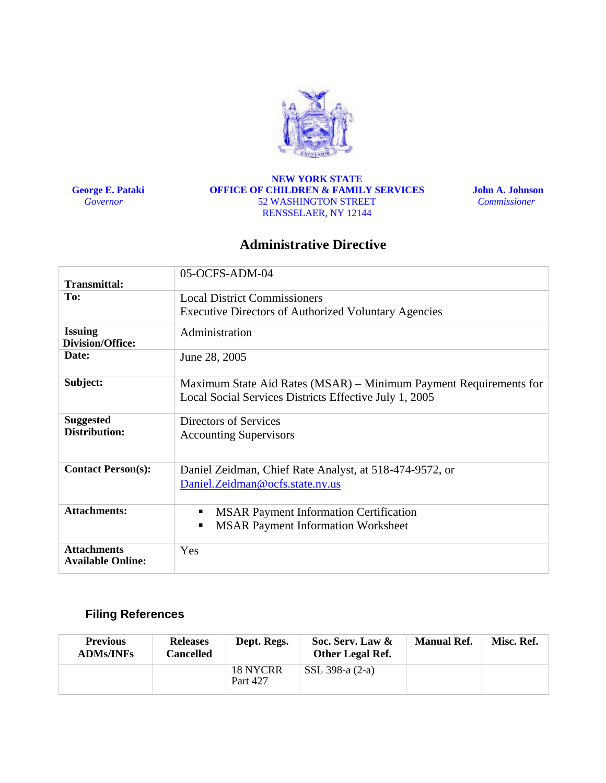

 **George E. Pataki**   *Governor* 

#### **NEW YORK STATE OFFICE OF CHILDREN & FAMILY SERVICES**  52 WASHINGTON STREET RENSSELAER, NY 12144

 **John A. Johnson**  *Commissioner* 

# **Administrative Directive**

|                                                | 05-OCFS-ADM-04                                                                                                              |  |  |  |  |  |  |  |
|------------------------------------------------|-----------------------------------------------------------------------------------------------------------------------------|--|--|--|--|--|--|--|
| <b>Transmittal:</b>                            |                                                                                                                             |  |  |  |  |  |  |  |
| To:                                            | <b>Local District Commissioners</b>                                                                                         |  |  |  |  |  |  |  |
|                                                | <b>Executive Directors of Authorized Voluntary Agencies</b>                                                                 |  |  |  |  |  |  |  |
| <b>Issuing</b><br><b>Division/Office:</b>      | Administration                                                                                                              |  |  |  |  |  |  |  |
| Date:                                          | June 28, 2005                                                                                                               |  |  |  |  |  |  |  |
| Subject:                                       | Maximum State Aid Rates (MSAR) – Minimum Payment Requirements for<br>Local Social Services Districts Effective July 1, 2005 |  |  |  |  |  |  |  |
| <b>Suggested</b><br>Distribution:              | Directors of Services<br><b>Accounting Supervisors</b>                                                                      |  |  |  |  |  |  |  |
| <b>Contact Person(s):</b>                      | Daniel Zeidman, Chief Rate Analyst, at 518-474-9572, or<br>Daniel.Zeidman@ocfs.state.ny.us                                  |  |  |  |  |  |  |  |
| <b>Attachments:</b>                            | <b>MSAR Payment Information Certification</b><br>п<br><b>MSAR Payment Information Worksheet</b><br>п                        |  |  |  |  |  |  |  |
| <b>Attachments</b><br><b>Available Online:</b> | Yes                                                                                                                         |  |  |  |  |  |  |  |

# **Filing References**

| <b>Previous</b><br><b>ADMs/INFs</b> | <b>Releases</b><br>Cancelled | Dept. Regs.          | Soc. Serv. Law &<br><b>Other Legal Ref.</b> | <b>Manual Ref.</b> | Misc. Ref. |
|-------------------------------------|------------------------------|----------------------|---------------------------------------------|--------------------|------------|
|                                     |                              | 18 NYCRR<br>Part 427 | SSL 398-a (2-a)                             |                    |            |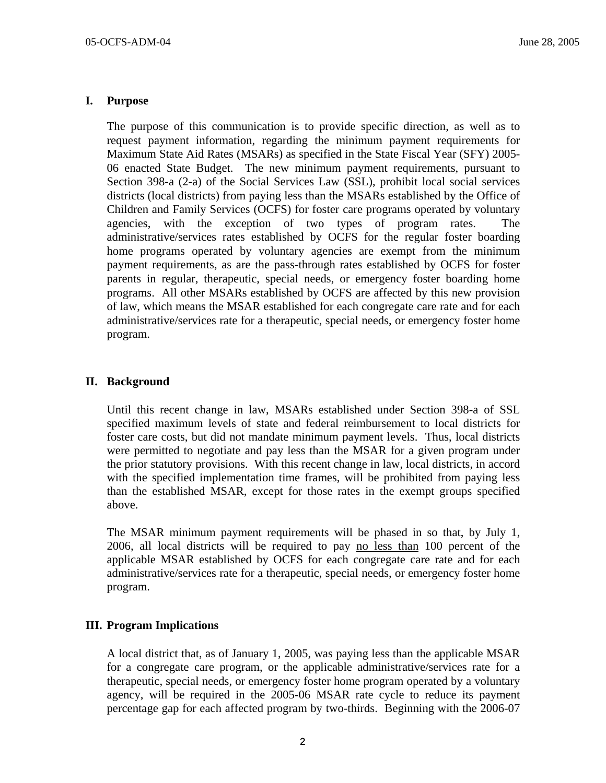## **I. Purpose**

The purpose of this communication is to provide specific direction, as well as to request payment information, regarding the minimum payment requirements for Maximum State Aid Rates (MSARs) as specified in the State Fiscal Year (SFY) 2005- 06 enacted State Budget. The new minimum payment requirements, pursuant to Section 398-a (2-a) of the Social Services Law (SSL), prohibit local social services districts (local districts) from paying less than the MSARs established by the Office of Children and Family Services (OCFS) for foster care programs operated by voluntary agencies, with the exception of two types of program rates. The administrative/services rates established by OCFS for the regular foster boarding home programs operated by voluntary agencies are exempt from the minimum payment requirements, as are the pass-through rates established by OCFS for foster parents in regular, therapeutic, special needs, or emergency foster boarding home programs. All other MSARs established by OCFS are affected by this new provision of law, which means the MSAR established for each congregate care rate and for each administrative/services rate for a therapeutic, special needs, or emergency foster home program.

## **II. Background**

Until this recent change in law, MSARs established under Section 398-a of SSL specified maximum levels of state and federal reimbursement to local districts for foster care costs, but did not mandate minimum payment levels. Thus, local districts were permitted to negotiate and pay less than the MSAR for a given program under the prior statutory provisions. With this recent change in law, local districts, in accord with the specified implementation time frames, will be prohibited from paying less than the established MSAR, except for those rates in the exempt groups specified above.

The MSAR minimum payment requirements will be phased in so that, by July 1, 2006, all local districts will be required to pay no less than 100 percent of the applicable MSAR established by OCFS for each congregate care rate and for each administrative/services rate for a therapeutic, special needs, or emergency foster home program.

## **III. Program Implications**

A local district that, as of January 1, 2005, was paying less than the applicable MSAR for a congregate care program, or the applicable administrative/services rate for a therapeutic, special needs, or emergency foster home program operated by a voluntary agency, will be required in the 2005-06 MSAR rate cycle to reduce its payment percentage gap for each affected program by two-thirds. Beginning with the 2006-07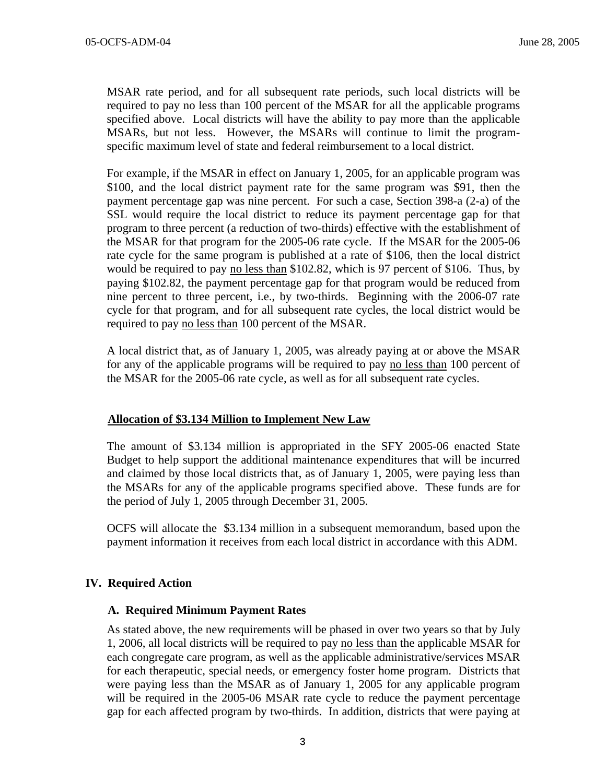MSAR rate period, and for all subsequent rate periods, such local districts will be required to pay no less than 100 percent of the MSAR for all the applicable programs specified above. Local districts will have the ability to pay more than the applicable MSARs, but not less. However, the MSARs will continue to limit the programspecific maximum level of state and federal reimbursement to a local district.

For example, if the MSAR in effect on January 1, 2005, for an applicable program was \$100, and the local district payment rate for the same program was \$91, then the payment percentage gap was nine percent. For such a case, Section 398-a (2-a) of the SSL would require the local district to reduce its payment percentage gap for that program to three percent (a reduction of two-thirds) effective with the establishment of the MSAR for that program for the 2005-06 rate cycle. If the MSAR for the 2005-06 rate cycle for the same program is published at a rate of \$106, then the local district would be required to pay no less than \$102.82, which is 97 percent of \$106. Thus, by paying \$102.82, the payment percentage gap for that program would be reduced from nine percent to three percent, i.e., by two-thirds. Beginning with the 2006-07 rate cycle for that program, and for all subsequent rate cycles, the local district would be required to pay no less than 100 percent of the MSAR.

A local district that, as of January 1, 2005, was already paying at or above the MSAR for any of the applicable programs will be required to pay no less than 100 percent of the MSAR for the 2005-06 rate cycle, as well as for all subsequent rate cycles.

#### **Allocation of \$3.134 Million to Implement New Law**

The amount of \$3.134 million is appropriated in the SFY 2005-06 enacted State Budget to help support the additional maintenance expenditures that will be incurred and claimed by those local districts that, as of January 1, 2005, were paying less than the MSARs for any of the applicable programs specified above. These funds are for the period of July 1, 2005 through December 31, 2005.

OCFS will allocate the \$3.134 million in a subsequent memorandum, based upon the payment information it receives from each local district in accordance with this ADM.

#### **IV. Required Action**

#### **A. Required Minimum Payment Rates**

As stated above, the new requirements will be phased in over two years so that by July 1, 2006, all local districts will be required to pay no less than the applicable MSAR for each congregate care program, as well as the applicable administrative/services MSAR for each therapeutic, special needs, or emergency foster home program. Districts that were paying less than the MSAR as of January 1, 2005 for any applicable program will be required in the 2005-06 MSAR rate cycle to reduce the payment percentage gap for each affected program by two-thirds. In addition, districts that were paying at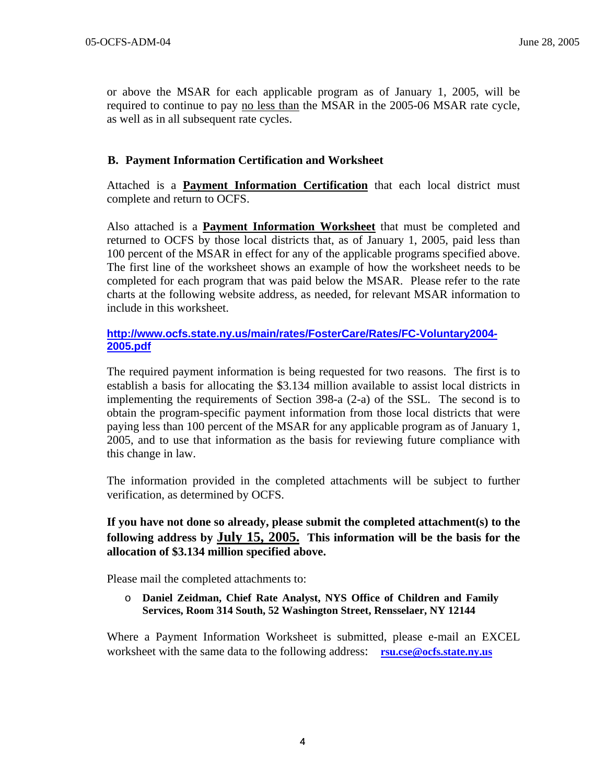or above the MSAR for each applicable program as of January 1, 2005, will be required to continue to pay no less than the MSAR in the 2005-06 MSAR rate cycle, as well as in all subsequent rate cycles.

# **B. Payment Information Certification and Worksheet**

Attached is a **Payment Information Certification** that each local district must complete and return to OCFS.

Also attached is a **Payment Information Worksheet** that must be completed and returned to OCFS by those local districts that, as of January 1, 2005, paid less than 100 percent of the MSAR in effect for any of the applicable programs specified above. The first line of the worksheet shows an example of how the worksheet needs to be completed for each program that was paid below the MSAR. Please refer to the rate charts at the following website address, as needed, for relevant MSAR information to include in this worksheet.

## **[http://www.ocfs.state.ny.us/main/rates/FosterCare/Rates/FC-Voluntary2004-](http://www.ocfs.state.ny.us/main/rates/FosterCare/Rates/FC-Voluntary2004-2005.pdf) [2005.pdf](http://www.ocfs.state.ny.us/main/rates/FosterCare/Rates/FC-Voluntary2004-2005.pdf)**

The required payment information is being requested for two reasons. The first is to establish a basis for allocating the \$3.134 million available to assist local districts in implementing the requirements of Section 398-a (2-a) of the SSL. The second is to obtain the program-specific payment information from those local districts that were paying less than 100 percent of the MSAR for any applicable program as of January 1, 2005, and to use that information as the basis for reviewing future compliance with this change in law.

The information provided in the completed attachments will be subject to further verification, as determined by OCFS.

# **If you have not done so already, please submit the completed attachment(s) to the following address by July 15, 2005. This information will be the basis for the allocation of \$3.134 million specified above.**

Please mail the completed attachments to:

o **Daniel Zeidman, Chief Rate Analyst, NYS Office of Children and Family Services, Room 314 South, 52 Washington Street, Rensselaer, NY 12144** 

Where a Payment Information Worksheet is submitted, please e-mail an EXCEL worksheet with the same data to the following address: **[rsu.cse@ocfs.state.ny.us](mailto:rsu.cse@ocfs.state.ny.us)**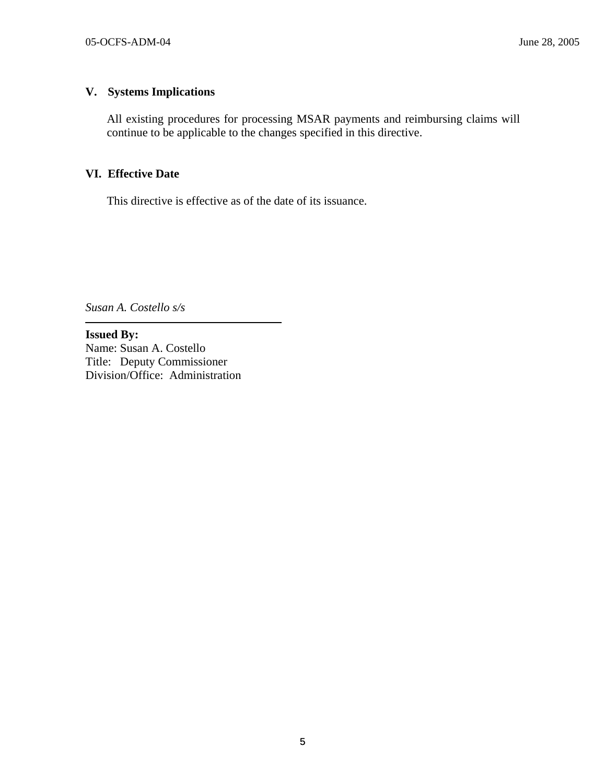# **V. Systems Implications**

All existing procedures for processing MSAR payments and reimbursing claims will continue to be applicable to the changes specified in this directive.

### **VI. Effective Date**

This directive is effective as of the date of its issuance.

*Susan A. Costello s/s* 

 $\overline{a}$ 

**Issued By:**  Name: Susan A. Costello Title: Deputy Commissioner Division/Office: Administration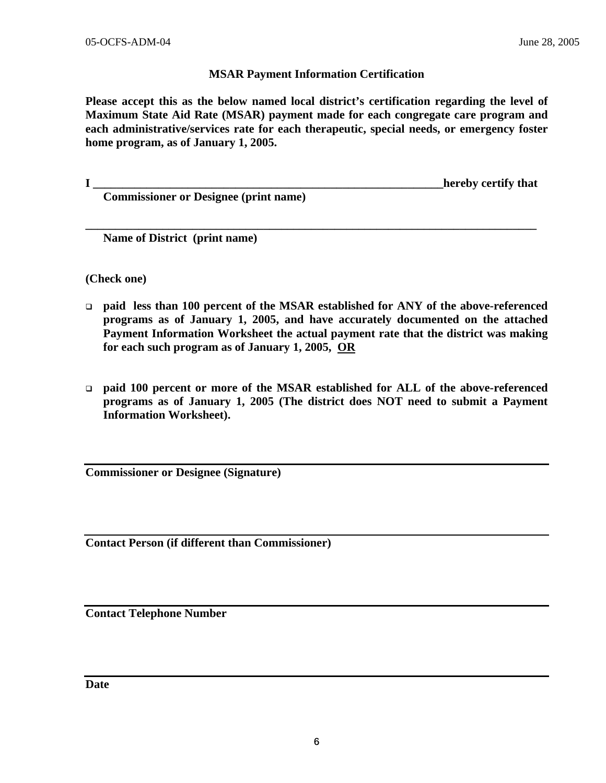# **MSAR Payment Information Certification**

**Please accept this as the below named local district's certification regarding the level of Maximum State Aid Rate (MSAR) payment made for each congregate care program and each administrative/services rate for each therapeutic, special needs, or emergency foster home program, as of January 1, 2005.** 

**\_\_\_\_\_\_\_\_\_\_\_\_\_\_\_\_\_\_\_\_\_\_\_\_\_\_\_\_\_\_\_\_\_\_\_\_\_\_\_\_\_\_\_\_\_\_\_\_\_\_\_\_\_\_\_\_\_\_\_\_\_\_\_\_\_\_\_\_\_\_\_\_\_\_\_\_** 

**I I example 1** *I* **<b>hereby certify that**  $\blacksquare$ 

 **Commissioner or Designee (print name)** 

 **Name of District (print name)** 

**(Check one)** 

- **paid less than 100 percent of the MSAR established for ANY of the above-referenced programs as of January 1, 2005, and have accurately documented on the attached Payment Information Worksheet the actual payment rate that the district was making for each such program as of January 1, 2005, OR**
- **paid 100 percent or more of the MSAR established for ALL of the above-referenced programs as of January 1, 2005 (The district does NOT need to submit a Payment Information Worksheet).**

**Commissioner or Designee (Signature)** 

**Contact Person (if different than Commissioner)** 

**Contact Telephone Number** 

**Date**